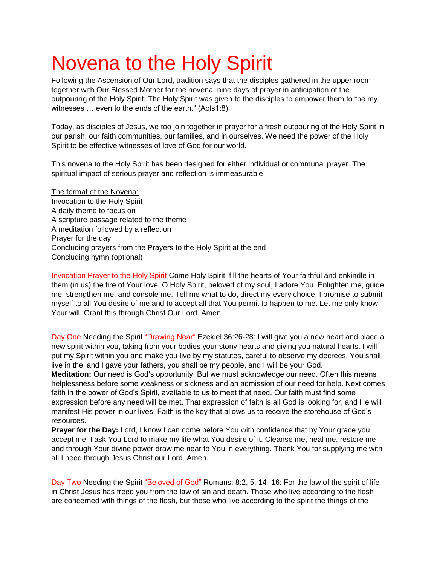# Novena to the Holy Spirit

Following the Ascension of Our Lord, tradition says that the disciples gathered in the upper room together with Our Blessed Mother for the novena, nine days of prayer in anticipation of the outpouring of the Holy Spirit. The Holy Spirit was given to the disciples to empower them to "be my witnesses … even to the ends of the earth." (Acts1:8)

Today, as disciples of Jesus, we too join together in prayer for a fresh outpouring of the Holy Spirit in our parish, our faith communities, our families, and in ourselves. We need the power of the Holy Spirit to be effective witnesses of love of God for our world.

This novena to the Holy Spirit has been designed for either individual or communal prayer. The spiritual impact of serious prayer and reflection is immeasurable.

The format of the Novena: Invocation to the Holy Spirit A daily theme to focus on A scripture passage related to the theme A meditation followed by a reflection Prayer for the day Concluding prayers from the Prayers to the Holy Spirit at the end Concluding hymn (optional)

Invocation Prayer to the Holy Spirit Come Holy Spirit, fill the hearts of Your faithful and enkindle in them (in us) the fire of Your love. O Holy Spirit, beloved of my soul, I adore You. Enlighten me, guide me, strengthen me, and console me. Tell me what to do, direct my every choice. I promise to submit myself to all You desire of me and to accept all that You permit to happen to me. Let me only know Your will. Grant this through Christ Our Lord. Amen.

Day One Needing the Spirit "Drawing Near" Ezekiel 36:26-28: I will give you a new heart and place a new spirit within you, taking from your bodies your stony hearts and giving you natural hearts. I will put my Spirit within you and make you live by my statutes, careful to observe my decrees. You shall live in the land I gave your fathers, you shall be my people, and I will be your God.

**Meditation:** Our need is God's opportunity. But we must acknowledge our need. Often this means helplessness before some weakness or sickness and an admission of our need for help. Next comes faith in the power of God's Spirit, available to us to meet that need. Our faith must find some expression before any need will be met. That expression of faith is all God is looking for, and He will manifest His power in our lives. Faith is the key that allows us to receive the storehouse of God's resources.

**Prayer for the Day:** Lord, I know I can come before You with confidence that by Your grace you accept me. I ask You Lord to make my life what You desire of it. Cleanse me, heal me, restore me and through Your divine power draw me near to You in everything. Thank You for supplying me with all I need through Jesus Christ our Lord. Amen.

Day Two Needing the Spirit "Beloved of God" Romans: 8:2, 5, 14- 16: For the law of the spirit of life in Christ Jesus has freed you from the law of sin and death. Those who live according to the flesh are concerned with things of the flesh, but those who live according to the spirit the things of the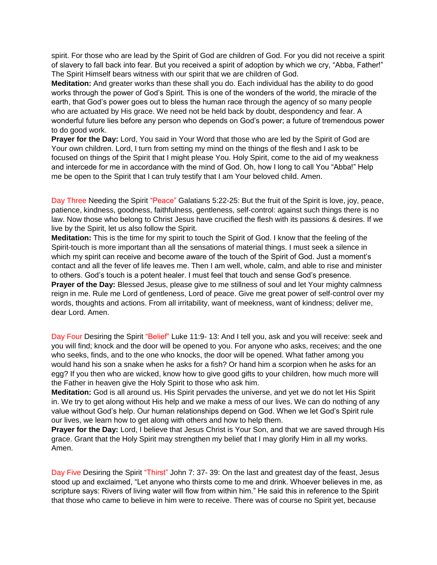spirit. For those who are lead by the Spirit of God are children of God. For you did not receive a spirit of slavery to fall back into fear. But you received a spirit of adoption by which we cry, "Abba, Father!" The Spirit Himself bears witness with our spirit that we are children of God.

**Meditation:** And greater works than these shall you do. Each individual has the ability to do good works through the power of God's Spirit. This is one of the wonders of the world, the miracle of the earth, that God's power goes out to bless the human race through the agency of so many people who are actuated by His grace. We need not be held back by doubt, despondency and fear. A wonderful future lies before any person who depends on God's power; a future of tremendous power to do good work.

**Prayer for the Day:** Lord, You said in Your Word that those who are led by the Spirit of God are Your own children. Lord, I turn from setting my mind on the things of the flesh and I ask to be focused on things of the Spirit that I might please You. Holy Spirit, come to the aid of my weakness and intercede for me in accordance with the mind of God. Oh, how I long to call You "Abba!" Help me be open to the Spirit that I can truly testify that I am Your beloved child. Amen.

Day Three Needing the Spirit "Peace" Galatians 5:22-25: But the fruit of the Spirit is love, joy, peace, patience, kindness, goodness, faithfulness, gentleness, self-control: against such things there is no law. Now those who belong to Christ Jesus have crucified the flesh with its passions & desires. If we live by the Spirit, let us also follow the Spirit.

**Meditation:** This is the time for my spirit to touch the Spirit of God. I know that the feeling of the Spirit-touch is more important than all the sensations of material things. I must seek a silence in which my spirit can receive and become aware of the touch of the Spirit of God. Just a moment's contact and all the fever of life leaves me. Then I am well, whole, calm, and able to rise and minister to others. God's touch is a potent healer. I must feel that touch and sense God's presence. **Prayer of the Day:** Blessed Jesus, please give to me stillness of soul and let Your mighty calmness reign in me. Rule me Lord of gentleness, Lord of peace. Give me great power of self-control over my words, thoughts and actions. From all irritability, want of meekness, want of kindness; deliver me, dear Lord. Amen.

Day Four Desiring the Spirit "Belief" Luke 11:9- 13: And I tell you, ask and you will receive: seek and you will find; knock and the door will be opened to you. For anyone who asks, receives; and the one who seeks, finds, and to the one who knocks, the door will be opened. What father among you would hand his son a snake when he asks for a fish? Or hand him a scorpion when he asks for an egg? If you then who are wicked, know how to give good gifts to your children, how much more will the Father in heaven give the Holy Spirit to those who ask him.

**Meditation:** God is all around us. His Spirit pervades the universe, and yet we do not let His Spirit in. We try to get along without His help and we make a mess of our lives. We can do nothing of any value without God's help. Our human relationships depend on God. When we let God's Spirit rule our lives, we learn how to get along with others and how to help them.

**Prayer for the Day:** Lord, I believe that Jesus Christ is Your Son, and that we are saved through His grace. Grant that the Holy Spirit may strengthen my belief that I may glorify Him in all my works. Amen.

Day Five Desiring the Spirit "Thirst" John 7: 37- 39: On the last and greatest day of the feast, Jesus stood up and exclaimed, "Let anyone who thirsts come to me and drink. Whoever believes in me, as scripture says: Rivers of living water will flow from within him." He said this in reference to the Spirit that those who came to believe in him were to receive. There was of course no Spirit yet, because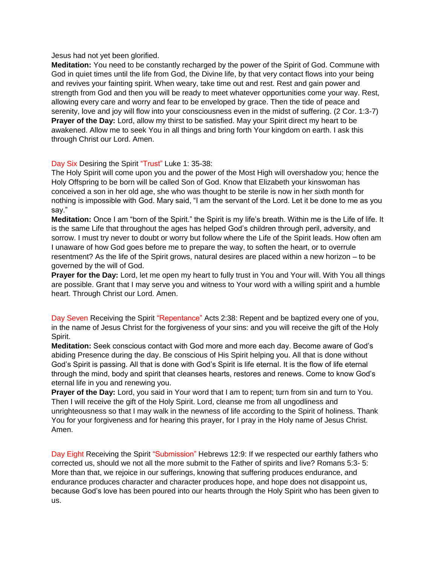Jesus had not yet been glorified.

**Meditation:** You need to be constantly recharged by the power of the Spirit of God. Commune with God in quiet times until the life from God, the Divine life, by that very contact flows into your being and revives your fainting spirit. When weary, take time out and rest. Rest and gain power and strength from God and then you will be ready to meet whatever opportunities come your way. Rest, allowing every care and worry and fear to be enveloped by grace. Then the tide of peace and serenity, love and joy will flow into your consciousness even in the midst of suffering. (2 Cor. 1:3-7) **Prayer of the Day:** Lord, allow my thirst to be satisfied. May your Spirit direct my heart to be awakened. Allow me to seek You in all things and bring forth Your kingdom on earth. I ask this through Christ our Lord. Amen.

#### Day Six Desiring the Spirit "Trust" Luke 1: 35-38:

The Holy Spirit will come upon you and the power of the Most High will overshadow you; hence the Holy Offspring to be born will be called Son of God. Know that Elizabeth your kinswoman has conceived a son in her old age, she who was thought to be sterile is now in her sixth month for nothing is impossible with God. Mary said, "I am the servant of the Lord. Let it be done to me as you say."

**Meditation:** Once I am "born of the Spirit." the Spirit is my life's breath. Within me is the Life of life. It is the same Life that throughout the ages has helped God's children through peril, adversity, and sorrow. I must try never to doubt or worry but follow where the Life of the Spirit leads. How often am I unaware of how God goes before me to prepare the way, to soften the heart, or to overrule resentment? As the life of the Spirit grows, natural desires are placed within a new horizon – to be governed by the will of God.

**Prayer for the Day:** Lord, let me open my heart to fully trust in You and Your will. With You all things are possible. Grant that I may serve you and witness to Your word with a willing spirit and a humble heart. Through Christ our Lord. Amen.

Day Seven Receiving the Spirit "Repentance" Acts 2:38: Repent and be baptized every one of you, in the name of Jesus Christ for the forgiveness of your sins: and you will receive the gift of the Holy Spirit.

**Meditation:** Seek conscious contact with God more and more each day. Become aware of God's abiding Presence during the day. Be conscious of His Spirit helping you. All that is done without God's Spirit is passing. All that is done with God's Spirit is life eternal. It is the flow of life eternal through the mind, body and spirit that cleanses hearts, restores and renews. Come to know God's eternal life in you and renewing you.

**Prayer of the Day:** Lord, you said in Your word that I am to repent; turn from sin and turn to You. Then I will receive the gift of the Holy Spirit. Lord, cleanse me from all ungodliness and unrighteousness so that I may walk in the newness of life according to the Spirit of holiness. Thank You for your forgiveness and for hearing this prayer, for I pray in the Holy name of Jesus Christ. Amen.

Day Eight Receiving the Spirit "Submission" Hebrews 12:9: If we respected our earthly fathers who corrected us, should we not all the more submit to the Father of spirits and live? Romans 5:3- 5: More than that, we rejoice in our sufferings, knowing that suffering produces endurance, and endurance produces character and character produces hope, and hope does not disappoint us, because God's love has been poured into our hearts through the Holy Spirit who has been given to us.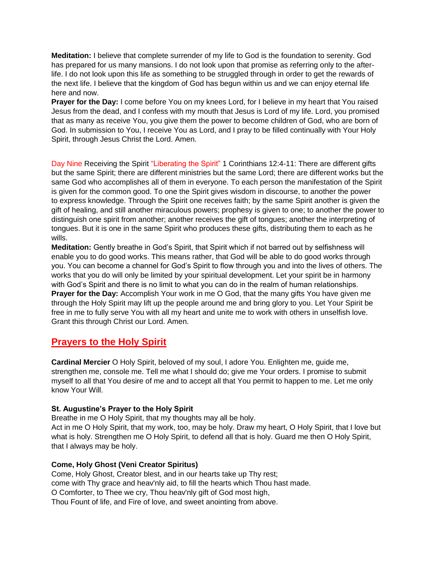**Meditation:** I believe that complete surrender of my life to God is the foundation to serenity. God has prepared for us many mansions. I do not look upon that promise as referring only to the afterlife. I do not look upon this life as something to be struggled through in order to get the rewards of the next life. I believe that the kingdom of God has begun within us and we can enjoy eternal life here and now.

**Prayer for the Day:** I come before You on my knees Lord, for I believe in my heart that You raised Jesus from the dead, and I confess with my mouth that Jesus is Lord of my life. Lord, you promised that as many as receive You, you give them the power to become children of God, who are born of God. In submission to You, I receive You as Lord, and I pray to be filled continually with Your Holy Spirit, through Jesus Christ the Lord. Amen.

Day Nine Receiving the Spirit "Liberating the Spirit" 1 Corinthians 12:4-11: There are different gifts but the same Spirit; there are different ministries but the same Lord; there are different works but the same God who accomplishes all of them in everyone. To each person the manifestation of the Spirit is given for the common good. To one the Spirit gives wisdom in discourse, to another the power to express knowledge. Through the Spirit one receives faith; by the same Spirit another is given the gift of healing, and still another miraculous powers; prophesy is given to one; to another the power to distinguish one spirit from another; another receives the gift of tongues; another the interpreting of tongues. But it is one in the same Spirit who produces these gifts, distributing them to each as he wills.

**Meditation:** Gently breathe in God's Spirit, that Spirit which if not barred out by selfishness will enable you to do good works. This means rather, that God will be able to do good works through you. You can become a channel for God's Spirit to flow through you and into the lives of others. The works that you do will only be limited by your spiritual development. Let your spirit be in harmony with God's Spirit and there is no limit to what you can do in the realm of human relationships. **Prayer for the Day:** Accomplish Your work in me O God, that the many gifts You have given me through the Holy Spirit may lift up the people around me and bring glory to you. Let Your Spirit be free in me to fully serve You with all my heart and unite me to work with others in unselfish love. Grant this through Christ our Lord. Amen.

## **Prayers to the Holy Spirit**

**Cardinal Mercier** O Holy Spirit, beloved of my soul, I adore You. Enlighten me, guide me, strengthen me, console me. Tell me what I should do; give me Your orders. I promise to submit myself to all that You desire of me and to accept all that You permit to happen to me. Let me only know Your Will.

### **St. Augustine's Prayer to the Holy Spirit**

Breathe in me O Holy Spirit, that my thoughts may all be holy.

Act in me O Holy Spirit, that my work, too, may be holy. Draw my heart, O Holy Spirit, that I love but what is holy. Strengthen me O Holy Spirit, to defend all that is holy. Guard me then O Holy Spirit, that I always may be holy.

### **Come, Holy Ghost (Veni Creator Spiritus)**

Come, Holy Ghost, Creator blest, and in our hearts take up Thy rest; come with Thy grace and heav'nly aid, to fill the hearts which Thou hast made. O Comforter, to Thee we cry, Thou heav'nly gift of God most high, Thou Fount of life, and Fire of love, and sweet anointing from above.